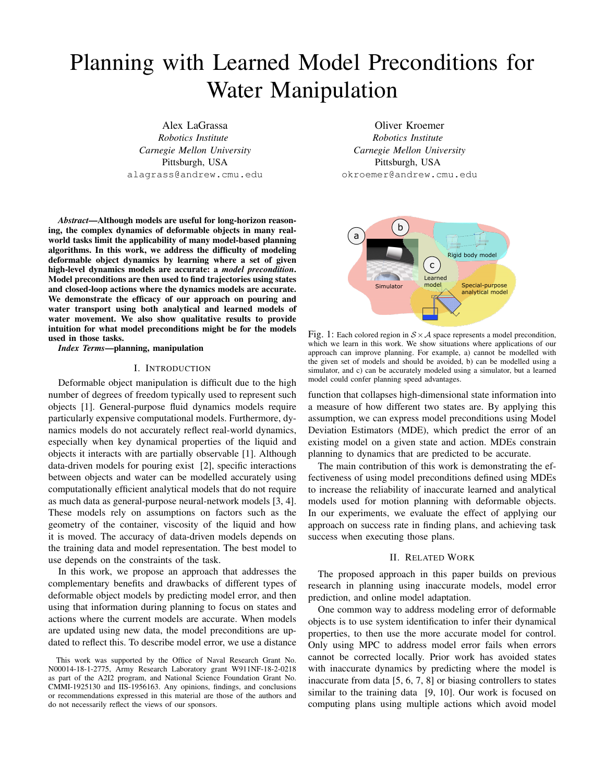# Planning with Learned Model Preconditions for Water Manipulation

Alex LaGrassa *Robotics Institute Carnegie Mellon University* Pittsburgh, USA alagrass@andrew.cmu.edu

*Abstract*—Although models are useful for long-horizon reasoning, the complex dynamics of deformable objects in many realworld tasks limit the applicability of many model-based planning algorithms. In this work, we address the difficulty of modeling deformable object dynamics by learning where a set of given high-level dynamics models are accurate: a *model precondition*. Model preconditions are then used to find trajectories using states and closed-loop actions where the dynamics models are accurate. We demonstrate the efficacy of our approach on pouring and water transport using both analytical and learned models of water movement. We also show qualitative results to provide intuition for what model preconditions might be for the models used in those tasks.

*Index Terms*—planning, manipulation

## I. INTRODUCTION

Deformable object manipulation is difficult due to the high number of degrees of freedom typically used to represent such objects [1]. General-purpose fluid dynamics models require particularly expensive computational models. Furthermore, dynamics models do not accurately reflect real-world dynamics, especially when key dynamical properties of the liquid and objects it interacts with are partially observable [1]. Although data-driven models for pouring exist [2], specific interactions between objects and water can be modelled accurately using computationally efficient analytical models that do not require as much data as general-purpose neural-network models [3, 4]. These models rely on assumptions on factors such as the geometry of the container, viscosity of the liquid and how it is moved. The accuracy of data-driven models depends on the training data and model representation. The best model to use depends on the constraints of the task.

In this work, we propose an approach that addresses the complementary benefits and drawbacks of different types of deformable object models by predicting model error, and then using that information during planning to focus on states and actions where the current models are accurate. When models are updated using new data, the model preconditions are updated to reflect this. To describe model error, we use a distance

Oliver Kroemer *Robotics Institute Carnegie Mellon University* Pittsburgh, USA okroemer@andrew.cmu.edu



Fig. 1: Each colored region in  $S \times A$  space represents a model precondition, which we learn in this work. We show situations where applications of our approach can improve planning. For example, a) cannot be modelled with the given set of models and should be avoided, b) can be modelled using a simulator, and c) can be accurately modeled using a simulator, but a learned model could confer planning speed advantages.

function that collapses high-dimensional state information into a measure of how different two states are. By applying this assumption, we can express model preconditions using Model Deviation Estimators (MDE), which predict the error of an existing model on a given state and action. MDEs constrain planning to dynamics that are predicted to be accurate.

The main contribution of this work is demonstrating the effectiveness of using model preconditions defined using MDEs to increase the reliability of inaccurate learned and analytical models used for motion planning with deformable objects. In our experiments, we evaluate the effect of applying our approach on success rate in finding plans, and achieving task success when executing those plans.

#### II. RELATED WORK

The proposed approach in this paper builds on previous research in planning using inaccurate models, model error prediction, and online model adaptation.

One common way to address modeling error of deformable objects is to use system identification to infer their dynamical properties, to then use the more accurate model for control. Only using MPC to address model error fails when errors cannot be corrected locally. Prior work has avoided states with inaccurate dynamics by predicting where the model is inaccurate from data [5, 6, 7, 8] or biasing controllers to states similar to the training data [9, 10]. Our work is focused on computing plans using multiple actions which avoid model

This work was supported by the Office of Naval Research Grant No. N00014-18-1-2775, Army Research Laboratory grant W911NF-18-2-0218 as part of the A2I2 program, and National Science Foundation Grant No. CMMI-1925130 and IIS-1956163. Any opinions, findings, and conclusions or recommendations expressed in this material are those of the authors and do not necessarily reflect the views of our sponsors.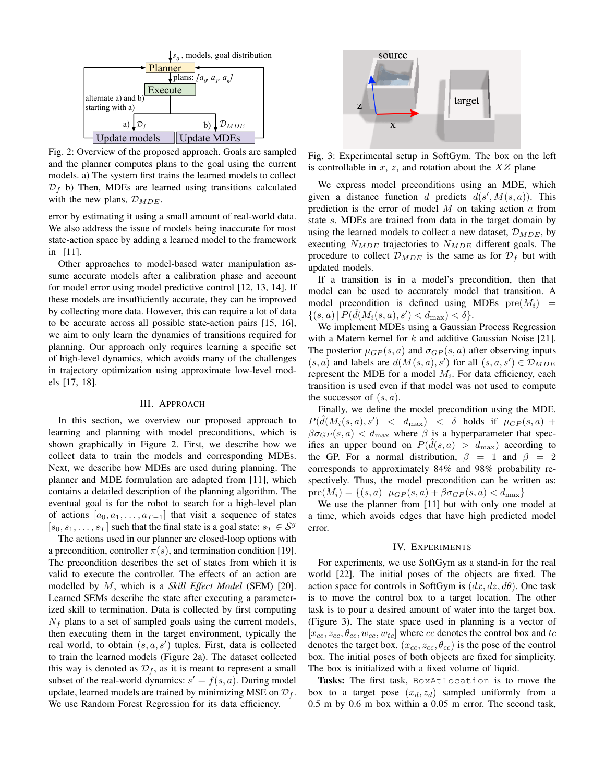

Fig. 2: Overview of the proposed approach. Goals are sampled and the planner computes plans to the goal using the current models. a) The system first trains the learned models to collect  $\mathcal{D}_f$  b) Then, MDEs are learned using transitions calculated with the new plans,  $\mathcal{D}_{MDE}$ .

error by estimating it using a small amount of real-world data. We also address the issue of models being inaccurate for most state-action space by adding a learned model to the framework in [11].

Other approaches to model-based water manipulation assume accurate models after a calibration phase and account for model error using model predictive control [12, 13, 14]. If these models are insufficiently accurate, they can be improved by collecting more data. However, this can require a lot of data to be accurate across all possible state-action pairs [15, 16], we aim to only learn the dynamics of transitions required for planning. Our approach only requires learning a specific set of high-level dynamics, which avoids many of the challenges in trajectory optimization using approximate low-level models [17, 18].

#### III. APPROACH

In this section, we overview our proposed approach to learning and planning with model preconditions, which is shown graphically in Figure 2. First, we describe how we collect data to train the models and corresponding MDEs. Next, we describe how MDEs are used during planning. The planner and MDE formulation are adapted from [11], which contains a detailed description of the planning algorithm. The eventual goal is for the robot to search for a high-level plan of actions  $[a_0, a_1, \ldots, a_{T-1}]$  that visit a sequence of states  $[s_0, s_1, \ldots, s_T]$  such that the final state is a goal state:  $s_T \in \mathcal{S}^g$ 

The actions used in our planner are closed-loop options with a precondition, controller  $\pi(s)$ , and termination condition [19]. The precondition describes the set of states from which it is valid to execute the controller. The effects of an action are modelled by M, which is a *Skill Effect Model* (SEM) [20]. Learned SEMs describe the state after executing a parameterized skill to termination. Data is collected by first computing  $N_f$  plans to a set of sampled goals using the current models, then executing them in the target environment, typically the real world, to obtain  $(s, a, s')$  tuples. First, data is collected to train the learned models (Figure 2a). The dataset collected this way is denoted as  $\mathcal{D}_f$ , as it is meant to represent a small subset of the real-world dynamics:  $s' = f(s, a)$ . During model update, learned models are trained by minimizing MSE on  $\mathcal{D}_f$ . We use Random Forest Regression for its data efficiency.



Fig. 3: Experimental setup in SoftGym. The box on the left is controllable in  $x$ ,  $z$ , and rotation about the  $XZ$  plane

We express model preconditions using an MDE, which given a distance function d predicts  $d(s', M(s, a))$ . This prediction is the error of model  $M$  on taking action  $\alpha$  from state s. MDEs are trained from data in the target domain by using the learned models to collect a new dataset,  $\mathcal{D}_{\text{MDE}}$ , by executing  $N_{MDE}$  trajectories to  $N_{MDE}$  different goals. The procedure to collect  $\mathcal{D}_{MDE}$  is the same as for  $\mathcal{D}_f$  but with updated models.

If a transition is in a model's precondition, then that model can be used to accurately model that transition. A model precondition is defined using MDEs  $pre(M_i)$  =  $\{(s, a) | P(\hat{d}(M_i(s, a), s') < d_{\max}) < \delta\}.$ 

We implement MDEs using a Gaussian Process Regression with a Matern kernel for  $k$  and additive Gaussian Noise [21]. The posterior  $\mu_{GP}(s, a)$  and  $\sigma_{GP}(s, a)$  after observing inputs  $(s, a)$  and labels are  $d(M(s, a), s')$  for all  $(s, a, s') \in \mathcal{D}_{MDE}$ represent the MDE for a model  $M_i$ . For data efficiency, each transition is used even if that model was not used to compute the successor of  $(s, a)$ .

Finally, we define the model precondition using the MDE.  $P(\hat{d}(M_i(s,a),s') \leq d_{\max}) \leq \delta$  holds if  $\mu_{GP}(s,a)$  +  $\beta \sigma_{GP}(s, a) < d_{\text{max}}$  where  $\beta$  is a hyperparameter that specifies an upper bound on  $P(\hat{d}(s, a) > d_{\text{max}})$  according to the GP. For a normal distribution,  $\beta = 1$  and  $\beta = 2$ corresponds to approximately 84% and 98% probability respectively. Thus, the model precondition can be written as:  $pre(M_i) = \{(s, a) | \mu_{GP}(s, a) + \beta \sigma_{GP}(s, a) < d_{\text{max}}\}$ 

We use the planner from [11] but with only one model at a time, which avoids edges that have high predicted model error.

## IV. EXPERIMENTS

For experiments, we use SoftGym as a stand-in for the real world [22]. The initial poses of the objects are fixed. The action space for controls in SoftGym is  $(dx, dz, d\theta)$ . One task is to move the control box to a target location. The other task is to pour a desired amount of water into the target box. (Figure 3). The state space used in planning is a vector of  $[x_{cc}, z_{cc}, \theta_{cc}, w_{cc}, w_{tc}]$  where cc denotes the control box and tc denotes the target box.  $(x_{cc}, z_{cc}, \theta_{cc})$  is the pose of the control box. The initial poses of both objects are fixed for simplicity. The box is initialized with a fixed volume of liquid.

Tasks: The first task, BoxAtLocation is to move the box to a target pose  $(x_d, z_d)$  sampled uniformly from a 0.5 m by 0.6 m box within a 0.05 m error. The second task,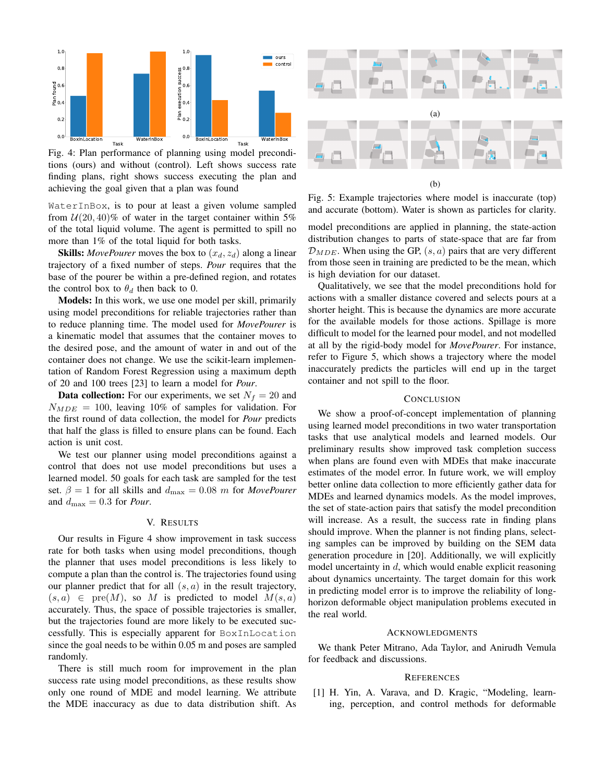

Fig. 4: Plan performance of planning using model preconditions (ours) and without (control). Left shows success rate finding plans, right shows success executing the plan and achieving the goal given that a plan was found

WaterInBox, is to pour at least a given volume sampled from  $U(20, 40)$ % of water in the target container within 5% of the total liquid volume. The agent is permitted to spill no more than 1% of the total liquid for both tasks.

**Skills:** *MovePourer* moves the box to  $(x_d, z_d)$  along a linear trajectory of a fixed number of steps. *Pour* requires that the base of the pourer be within a pre-defined region, and rotates the control box to  $\theta_d$  then back to 0.

Models: In this work, we use one model per skill, primarily using model preconditions for reliable trajectories rather than to reduce planning time. The model used for *MovePourer* is a kinematic model that assumes that the container moves to the desired pose, and the amount of water in and out of the container does not change. We use the scikit-learn implementation of Random Forest Regression using a maximum depth of 20 and 100 trees [23] to learn a model for *Pour*.

**Data collection:** For our experiments, we set  $N_f = 20$  and  $N_{MDE}$  = 100, leaving 10% of samples for validation. For the first round of data collection, the model for *Pour* predicts that half the glass is filled to ensure plans can be found. Each action is unit cost.

We test our planner using model preconditions against a control that does not use model preconditions but uses a learned model. 50 goals for each task are sampled for the test set.  $\beta = 1$  for all skills and  $d_{\text{max}} = 0.08$  m for *MovePourer* and  $d_{\text{max}} = 0.3$  for *Pour*.

## V. RESULTS

Our results in Figure 4 show improvement in task success rate for both tasks when using model preconditions, though the planner that uses model preconditions is less likely to compute a plan than the control is. The trajectories found using our planner predict that for all  $(s, a)$  in the result trajectory,  $(s, a) \in \text{pre}(M)$ , so M is predicted to model  $M(s, a)$ accurately. Thus, the space of possible trajectories is smaller, but the trajectories found are more likely to be executed successfully. This is especially apparent for BoxInLocation since the goal needs to be within 0.05 m and poses are sampled randomly.

There is still much room for improvement in the plan success rate using model preconditions, as these results show only one round of MDE and model learning. We attribute the MDE inaccuracy as due to data distribution shift. As



(b)

Fig. 5: Example trajectories where model is inaccurate (top) and accurate (bottom). Water is shown as particles for clarity.

model preconditions are applied in planning, the state-action distribution changes to parts of state-space that are far from  $\mathcal{D}_{MDE}$ . When using the GP,  $(s, a)$  pairs that are very different from those seen in training are predicted to be the mean, which is high deviation for our dataset.

Qualitatively, we see that the model preconditions hold for actions with a smaller distance covered and selects pours at a shorter height. This is because the dynamics are more accurate for the available models for those actions. Spillage is more difficult to model for the learned pour model, and not modelled at all by the rigid-body model for *MovePourer*. For instance, refer to Figure 5, which shows a trajectory where the model inaccurately predicts the particles will end up in the target container and not spill to the floor.

#### **CONCLUSION**

We show a proof-of-concept implementation of planning using learned model preconditions in two water transportation tasks that use analytical models and learned models. Our preliminary results show improved task completion success when plans are found even with MDEs that make inaccurate estimates of the model error. In future work, we will employ better online data collection to more efficiently gather data for MDEs and learned dynamics models. As the model improves, the set of state-action pairs that satisfy the model precondition will increase. As a result, the success rate in finding plans should improve. When the planner is not finding plans, selecting samples can be improved by building on the SEM data generation procedure in [20]. Additionally, we will explicitly model uncertainty in  $d$ , which would enable explicit reasoning about dynamics uncertainty. The target domain for this work in predicting model error is to improve the reliability of longhorizon deformable object manipulation problems executed in the real world.

#### ACKNOWLEDGMENTS

We thank Peter Mitrano, Ada Taylor, and Anirudh Vemula for feedback and discussions.

### **REFERENCES**

[1] H. Yin, A. Varava, and D. Kragic, "Modeling, learning, perception, and control methods for deformable